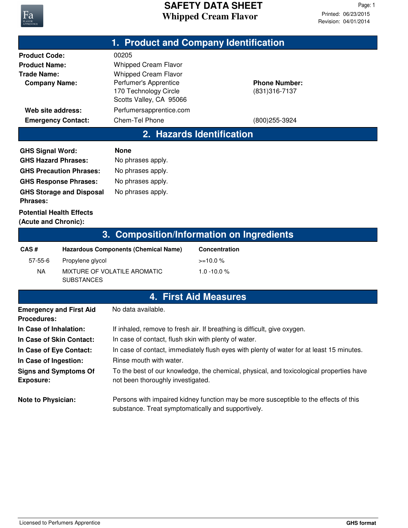

|                                                                                                                                                                                                           |                                       |                                                                                                                                                                                                                                                                                                                                                                                         | 1. Product and Company Identification         |  |
|-----------------------------------------------------------------------------------------------------------------------------------------------------------------------------------------------------------|---------------------------------------|-----------------------------------------------------------------------------------------------------------------------------------------------------------------------------------------------------------------------------------------------------------------------------------------------------------------------------------------------------------------------------------------|-----------------------------------------------|--|
| <b>Product Code:</b><br><b>Product Name:</b><br><b>Trade Name:</b><br><b>Company Name:</b>                                                                                                                |                                       | 00205<br><b>Whipped Cream Flavor</b><br><b>Whipped Cream Flavor</b><br>Perfumer's Apprentice<br>170 Technology Circle<br>Scotts Valley, CA 95066                                                                                                                                                                                                                                        | <b>Phone Number:</b><br>(831) 316-7137        |  |
| Web site address:<br><b>Emergency Contact:</b>                                                                                                                                                            |                                       | Perfumersapprentice.com<br>Chem-Tel Phone                                                                                                                                                                                                                                                                                                                                               | (800) 255-3924                                |  |
| 2. Hazards Identification                                                                                                                                                                                 |                                       |                                                                                                                                                                                                                                                                                                                                                                                         |                                               |  |
| <b>GHS Signal Word:</b><br><b>GHS Hazard Phrases:</b><br><b>GHS Precaution Phrases:</b><br><b>GHS Response Phrases:</b><br><b>GHS Storage and Disposal</b><br>Phrases:<br><b>Potential Health Effects</b> |                                       | <b>None</b><br>No phrases apply.<br>No phrases apply.<br>No phrases apply.<br>No phrases apply.                                                                                                                                                                                                                                                                                         |                                               |  |
| (Acute and Chronic):                                                                                                                                                                                      |                                       |                                                                                                                                                                                                                                                                                                                                                                                         |                                               |  |
|                                                                                                                                                                                                           | 3.                                    |                                                                                                                                                                                                                                                                                                                                                                                         | <b>Composition/Information on Ingredients</b> |  |
| CAS#<br>$57 - 55 - 6$<br><b>NA</b>                                                                                                                                                                        | Propylene glycol<br><b>SUBSTANCES</b> | <b>Hazardous Components (Chemical Name)</b><br>MIXTURE OF VOLATILE AROMATIC                                                                                                                                                                                                                                                                                                             | Concentration<br>$>=10.0%$<br>$1.0 - 10.0 %$  |  |
|                                                                                                                                                                                                           |                                       |                                                                                                                                                                                                                                                                                                                                                                                         | <b>4. First Aid Measures</b>                  |  |
| <b>Emergency and First Aid</b><br><b>Procedures:</b>                                                                                                                                                      |                                       | No data available.                                                                                                                                                                                                                                                                                                                                                                      |                                               |  |
| In Case of Inhalation:<br>In Case of Skin Contact:<br>In Case of Eye Contact:<br>In Case of Ingestion:<br><b>Signs and Symptoms Of</b><br><b>Exposure:</b>                                                |                                       | If inhaled, remove to fresh air. If breathing is difficult, give oxygen.<br>In case of contact, flush skin with plenty of water.<br>In case of contact, immediately flush eyes with plenty of water for at least 15 minutes.<br>Rinse mouth with water.<br>To the best of our knowledge, the chemical, physical, and toxicological properties have<br>not been thoroughly investigated. |                                               |  |
| <b>Note to Physician:</b>                                                                                                                                                                                 |                                       | Persons with impaired kidney function may be more susceptible to the effects of this<br>substance. Treat symptomatically and supportively.                                                                                                                                                                                                                                              |                                               |  |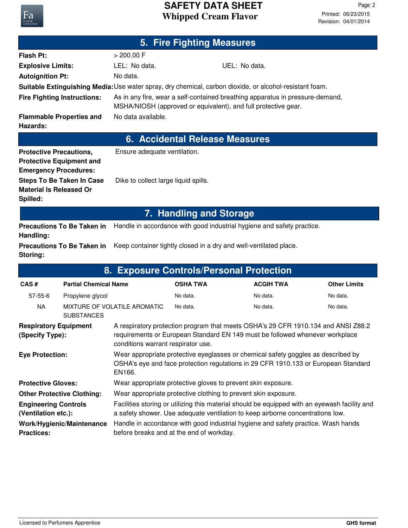## **Whipped Cream Flavor SAFETY DATA SHEET**

Revision: 04/01/2014 Printed: 06/23/2015 Page: 2

|                                            |                                                                 |                                      | 5. Fire Fighting Measures |                                                                                                                                                 |                     |
|--------------------------------------------|-----------------------------------------------------------------|--------------------------------------|---------------------------|-------------------------------------------------------------------------------------------------------------------------------------------------|---------------------|
| <b>Flash Pt:</b>                           |                                                                 | > 200.00 F                           |                           |                                                                                                                                                 |                     |
| <b>Explosive Limits:</b>                   |                                                                 | LEL: No data.                        |                           | UEL: No data.                                                                                                                                   |                     |
| <b>Autoignition Pt:</b>                    |                                                                 | No data.                             |                           |                                                                                                                                                 |                     |
|                                            |                                                                 |                                      |                           | Suitable Extinguishing Media: Use water spray, dry chemical, carbon dioxide, or alcohol-resistant foam.                                         |                     |
|                                            | <b>Fire Fighting Instructions:</b>                              |                                      |                           | As in any fire, wear a self-contained breathing apparatus in pressure-demand,<br>MSHA/NIOSH (approved or equivalent), and full protective gear. |                     |
| Hazards:                                   | <b>Flammable Properties and</b>                                 | No data available.                   |                           |                                                                                                                                                 |                     |
|                                            |                                                                 |                                      |                           | <b>6. Accidental Release Measures</b>                                                                                                           |                     |
| <b>Protective Precautions,</b>             | <b>Protective Equipment and</b><br><b>Emergency Procedures:</b> | Ensure adequate ventilation.         |                           |                                                                                                                                                 |                     |
| <b>Material Is Released Or</b><br>Spilled: | <b>Steps To Be Taken In Case</b>                                | Dike to collect large liquid spills. |                           |                                                                                                                                                 |                     |
| <b>7. Handling and Storage</b>             |                                                                 |                                      |                           |                                                                                                                                                 |                     |
| Handling:                                  | <b>Precautions To Be Taken in</b>                               |                                      |                           | Handle in accordance with good industrial hygiene and safety practice.                                                                          |                     |
| Storing:                                   | <b>Precautions To Be Taken in</b>                               |                                      |                           | Keep container tightly closed in a dry and well-ventilated place.                                                                               |                     |
| 8. Exposure Controls/Personal Protection   |                                                                 |                                      |                           |                                                                                                                                                 |                     |
| CAS#                                       | <b>Partial Chemical Name</b>                                    |                                      | <b>OSHA TWA</b>           | <b>ACGIH TWA</b>                                                                                                                                | <b>Other Limits</b> |
| $57 - 55 - 6$                              | Propylene glycol                                                |                                      | No data.                  | No data.                                                                                                                                        | No data.            |
| NA                                         |                                                                 | MIXTURE OF VOLATILE AROMATIC         | No data.                  | No data.                                                                                                                                        | No data.            |

| <b>SUBSTANCES</b>                                  |                                                                                                                                                                                                         |
|----------------------------------------------------|---------------------------------------------------------------------------------------------------------------------------------------------------------------------------------------------------------|
| <b>Respiratory Equipment</b><br>(Specify Type):    | A respiratory protection program that meets OSHA's 29 CFR 1910.134 and ANSI Z88.2<br>requirements or European Standard EN 149 must be followed whenever workplace<br>conditions warrant respirator use. |
| <b>Eye Protection:</b>                             | Wear appropriate protective eyeglasses or chemical safety goggles as described by<br>OSHA's eye and face protection regulations in 29 CFR 1910.133 or European Standard<br>EN166.                       |
| <b>Protective Gloves:</b>                          | Wear appropriate protective gloves to prevent skin exposure.                                                                                                                                            |
| <b>Other Protective Clothing:</b>                  | Wear appropriate protective clothing to prevent skin exposure.                                                                                                                                          |
| <b>Engineering Controls</b><br>(Ventilation etc.): | Facilities storing or utilizing this material should be equipped with an eyewash facility and<br>a safety shower. Use adequate ventilation to keep airborne concentrations low.                         |
| Work/Hygienic/Maintenance<br><b>Practices:</b>     | Handle in accordance with good industrial hygiene and safety practice. Wash hands<br>before breaks and at the end of workday.                                                                           |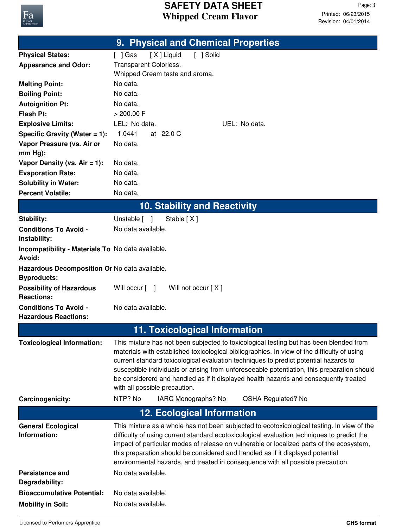

|                                                             | 9. Physical and Chemical Properties                                                                                                                                                                                                                                                                                                                                                                                                                                                                                                                                   |  |  |
|-------------------------------------------------------------|-----------------------------------------------------------------------------------------------------------------------------------------------------------------------------------------------------------------------------------------------------------------------------------------------------------------------------------------------------------------------------------------------------------------------------------------------------------------------------------------------------------------------------------------------------------------------|--|--|
| <b>Physical States:</b>                                     | [X] Liquid<br>[ ] Solid<br>[ ] Gas                                                                                                                                                                                                                                                                                                                                                                                                                                                                                                                                    |  |  |
| <b>Appearance and Odor:</b>                                 | Transparent Colorless.                                                                                                                                                                                                                                                                                                                                                                                                                                                                                                                                                |  |  |
|                                                             | Whipped Cream taste and aroma.                                                                                                                                                                                                                                                                                                                                                                                                                                                                                                                                        |  |  |
| <b>Melting Point:</b>                                       | No data.                                                                                                                                                                                                                                                                                                                                                                                                                                                                                                                                                              |  |  |
| <b>Boiling Point:</b>                                       | No data.                                                                                                                                                                                                                                                                                                                                                                                                                                                                                                                                                              |  |  |
| <b>Autoignition Pt:</b>                                     | No data.                                                                                                                                                                                                                                                                                                                                                                                                                                                                                                                                                              |  |  |
| <b>Flash Pt:</b>                                            | $> 200.00$ F                                                                                                                                                                                                                                                                                                                                                                                                                                                                                                                                                          |  |  |
| <b>Explosive Limits:</b>                                    | LEL: No data.<br>UEL: No data.                                                                                                                                                                                                                                                                                                                                                                                                                                                                                                                                        |  |  |
| Specific Gravity (Water $= 1$ ):                            | 1.0441<br>at 22.0 C<br>No data.                                                                                                                                                                                                                                                                                                                                                                                                                                                                                                                                       |  |  |
| Vapor Pressure (vs. Air or<br>$mm Hg$ :                     |                                                                                                                                                                                                                                                                                                                                                                                                                                                                                                                                                                       |  |  |
| Vapor Density (vs. $Air = 1$ ):                             | No data.                                                                                                                                                                                                                                                                                                                                                                                                                                                                                                                                                              |  |  |
| <b>Evaporation Rate:</b>                                    | No data.                                                                                                                                                                                                                                                                                                                                                                                                                                                                                                                                                              |  |  |
| <b>Solubility in Water:</b>                                 | No data.                                                                                                                                                                                                                                                                                                                                                                                                                                                                                                                                                              |  |  |
| <b>Percent Volatile:</b>                                    | No data.                                                                                                                                                                                                                                                                                                                                                                                                                                                                                                                                                              |  |  |
|                                                             | <b>10. Stability and Reactivity</b>                                                                                                                                                                                                                                                                                                                                                                                                                                                                                                                                   |  |  |
| Stability:                                                  | Unstable [ ]<br>Stable [X]                                                                                                                                                                                                                                                                                                                                                                                                                                                                                                                                            |  |  |
| <b>Conditions To Avoid -</b><br>Instability:                | No data available.                                                                                                                                                                                                                                                                                                                                                                                                                                                                                                                                                    |  |  |
| Incompatibility - Materials To No data available.<br>Avoid: |                                                                                                                                                                                                                                                                                                                                                                                                                                                                                                                                                                       |  |  |
| Hazardous Decomposition Or No data available.               |                                                                                                                                                                                                                                                                                                                                                                                                                                                                                                                                                                       |  |  |
| <b>Byproducts:</b>                                          |                                                                                                                                                                                                                                                                                                                                                                                                                                                                                                                                                                       |  |  |
| <b>Possibility of Hazardous</b>                             | Will not occur [X]<br>Will occur [ ]                                                                                                                                                                                                                                                                                                                                                                                                                                                                                                                                  |  |  |
| <b>Reactions:</b>                                           |                                                                                                                                                                                                                                                                                                                                                                                                                                                                                                                                                                       |  |  |
| <b>Conditions To Avoid -</b><br><b>Hazardous Reactions:</b> | No data available.                                                                                                                                                                                                                                                                                                                                                                                                                                                                                                                                                    |  |  |
|                                                             | <b>11. Toxicological Information</b>                                                                                                                                                                                                                                                                                                                                                                                                                                                                                                                                  |  |  |
| <b>Toxicological Information:</b><br>Carcinogenicity:       | This mixture has not been subjected to toxicological testing but has been blended from<br>materials with established toxicological bibliographies. In view of the difficulty of using<br>current standard toxicological evaluation techniques to predict potential hazards to<br>susceptible individuals or arising from unforeseeable potentiation, this preparation should<br>be considererd and handled as if it displayed health hazards and consequently treated<br>with all possible precaution.<br>NTP? No<br>IARC Monographs? No<br><b>OSHA Regulated? No</b> |  |  |
|                                                             | <b>12. Ecological Information</b>                                                                                                                                                                                                                                                                                                                                                                                                                                                                                                                                     |  |  |
|                                                             |                                                                                                                                                                                                                                                                                                                                                                                                                                                                                                                                                                       |  |  |
| <b>General Ecological</b><br>Information:                   | This mixture as a whole has not been subjected to ecotoxicological testing. In view of the<br>difficulty of using current standard ecotoxicological evaluation techniques to predict the<br>impact of particular modes of release on vulnerable or localized parts of the ecosystem,<br>this preparation should be considered and handled as if it displayed potential<br>environmental hazards, and treated in consequence with all possible precaution.                                                                                                             |  |  |
| <b>Persistence and</b><br>Degradability:                    | No data available.                                                                                                                                                                                                                                                                                                                                                                                                                                                                                                                                                    |  |  |
| <b>Bioaccumulative Potential:</b>                           | No data available.                                                                                                                                                                                                                                                                                                                                                                                                                                                                                                                                                    |  |  |
| <b>Mobility in Soil:</b>                                    | No data available.                                                                                                                                                                                                                                                                                                                                                                                                                                                                                                                                                    |  |  |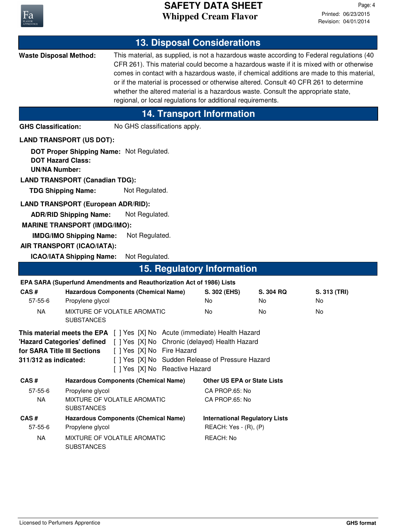

| <b>13. Disposal Considerations</b>                                                                                                                                                                                                                                                                                                          |                                                                                                                                                     |                                                                                                                                                                                                                                           |                                                                |                                  |                                                                                                                                                                                                                                                                                   |  |
|---------------------------------------------------------------------------------------------------------------------------------------------------------------------------------------------------------------------------------------------------------------------------------------------------------------------------------------------|-----------------------------------------------------------------------------------------------------------------------------------------------------|-------------------------------------------------------------------------------------------------------------------------------------------------------------------------------------------------------------------------------------------|----------------------------------------------------------------|----------------------------------|-----------------------------------------------------------------------------------------------------------------------------------------------------------------------------------------------------------------------------------------------------------------------------------|--|
| <b>Waste Disposal Method:</b>                                                                                                                                                                                                                                                                                                               |                                                                                                                                                     | or if the material is processed or otherwise altered. Consult 40 CFR 261 to determine<br>whether the altered material is a hazardous waste. Consult the appropriate state,<br>regional, or local regulations for additional requirements. |                                                                |                                  | This material, as supplied, is not a hazardous waste according to Federal regulations (40<br>CFR 261). This material could become a hazardous waste if it is mixed with or otherwise<br>comes in contact with a hazardous waste, if chemical additions are made to this material, |  |
|                                                                                                                                                                                                                                                                                                                                             |                                                                                                                                                     |                                                                                                                                                                                                                                           | <b>14. Transport Information</b>                               |                                  |                                                                                                                                                                                                                                                                                   |  |
| <b>GHS Classification:</b>                                                                                                                                                                                                                                                                                                                  |                                                                                                                                                     | No GHS classifications apply.                                                                                                                                                                                                             |                                                                |                                  |                                                                                                                                                                                                                                                                                   |  |
|                                                                                                                                                                                                                                                                                                                                             | <b>LAND TRANSPORT (US DOT):</b>                                                                                                                     |                                                                                                                                                                                                                                           |                                                                |                                  |                                                                                                                                                                                                                                                                                   |  |
| <b>DOT Hazard Class:</b><br><b>UN/NA Number:</b>                                                                                                                                                                                                                                                                                            | DOT Proper Shipping Name: Not Regulated.<br><b>LAND TRANSPORT (Canadian TDG):</b>                                                                   |                                                                                                                                                                                                                                           |                                                                |                                  |                                                                                                                                                                                                                                                                                   |  |
| <b>TDG Shipping Name:</b>                                                                                                                                                                                                                                                                                                                   |                                                                                                                                                     | Not Regulated.                                                                                                                                                                                                                            |                                                                |                                  |                                                                                                                                                                                                                                                                                   |  |
|                                                                                                                                                                                                                                                                                                                                             | <b>LAND TRANSPORT (European ADR/RID):</b><br><b>ADR/RID Shipping Name:</b><br><b>MARINE TRANSPORT (IMDG/IMO):</b><br><b>IMDG/IMO Shipping Name:</b> | Not Regulated.<br>Not Regulated.                                                                                                                                                                                                          |                                                                |                                  |                                                                                                                                                                                                                                                                                   |  |
|                                                                                                                                                                                                                                                                                                                                             | AIR TRANSPORT (ICAO/IATA):                                                                                                                          |                                                                                                                                                                                                                                           |                                                                |                                  |                                                                                                                                                                                                                                                                                   |  |
|                                                                                                                                                                                                                                                                                                                                             | <b>ICAO/IATA Shipping Name:</b>                                                                                                                     | Not Regulated.                                                                                                                                                                                                                            |                                                                |                                  |                                                                                                                                                                                                                                                                                   |  |
|                                                                                                                                                                                                                                                                                                                                             |                                                                                                                                                     | <b>15. Regulatory Information</b>                                                                                                                                                                                                         |                                                                |                                  |                                                                                                                                                                                                                                                                                   |  |
|                                                                                                                                                                                                                                                                                                                                             |                                                                                                                                                     | EPA SARA (Superfund Amendments and Reauthorization Act of 1986) Lists                                                                                                                                                                     |                                                                |                                  |                                                                                                                                                                                                                                                                                   |  |
| CAS#                                                                                                                                                                                                                                                                                                                                        | <b>Hazardous Components (Chemical Name)</b>                                                                                                         |                                                                                                                                                                                                                                           | S. 302 (EHS)                                                   | S. 304 RQ                        | S. 313 (TRI)                                                                                                                                                                                                                                                                      |  |
| 57-55-6<br><b>NA</b>                                                                                                                                                                                                                                                                                                                        | Propylene glycol<br>MIXTURE OF VOLATILE AROMATIC                                                                                                    |                                                                                                                                                                                                                                           | No<br><b>No</b>                                                | No<br>No                         | No<br>No                                                                                                                                                                                                                                                                          |  |
|                                                                                                                                                                                                                                                                                                                                             | <b>SUBSTANCES</b>                                                                                                                                   |                                                                                                                                                                                                                                           |                                                                |                                  |                                                                                                                                                                                                                                                                                   |  |
| <b>This material meets the EPA</b> [ ] Yes [X] No Acute (immediate) Health Hazard<br>'Hazard Categories' defined [ ] Yes [X] No Chronic (delayed) Health Hazard<br>[ ] Yes [X] No Fire Hazard<br>for SARA Title III Sections<br>[ ] Yes [X] No Sudden Release of Pressure Hazard<br>311/312 as indicated:<br>[ ] Yes [X] No Reactive Hazard |                                                                                                                                                     |                                                                                                                                                                                                                                           |                                                                |                                  |                                                                                                                                                                                                                                                                                   |  |
| CAS#                                                                                                                                                                                                                                                                                                                                        | <b>Hazardous Components (Chemical Name)</b>                                                                                                         |                                                                                                                                                                                                                                           | <b>Other US EPA or State Lists</b>                             |                                  |                                                                                                                                                                                                                                                                                   |  |
| 57-55-6<br><b>NA</b>                                                                                                                                                                                                                                                                                                                        | Propylene glycol<br>MIXTURE OF VOLATILE AROMATIC<br><b>SUBSTANCES</b>                                                                               |                                                                                                                                                                                                                                           |                                                                | CA PROP.65: No<br>CA PROP.65: No |                                                                                                                                                                                                                                                                                   |  |
| CAS#<br>57-55-6                                                                                                                                                                                                                                                                                                                             | <b>Hazardous Components (Chemical Name)</b><br>Propylene glycol                                                                                     |                                                                                                                                                                                                                                           | <b>International Regulatory Lists</b><br>REACH: Yes - (R), (P) |                                  |                                                                                                                                                                                                                                                                                   |  |
| <b>NA</b>                                                                                                                                                                                                                                                                                                                                   | MIXTURE OF VOLATILE AROMATIC<br><b>SUBSTANCES</b>                                                                                                   |                                                                                                                                                                                                                                           | REACH: No                                                      |                                  |                                                                                                                                                                                                                                                                                   |  |